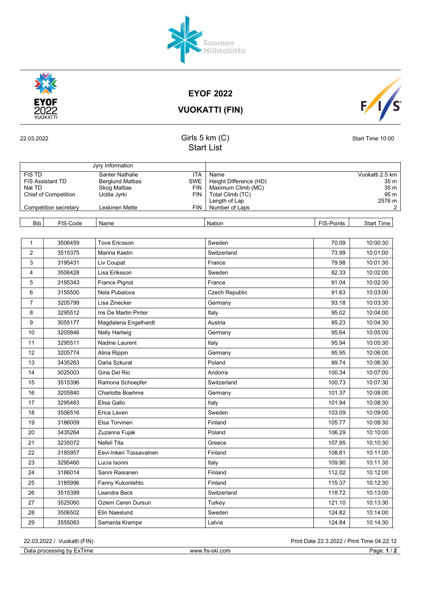

| ı ime<br>h١.<br><b>DEOCOCCIDO</b><br>∪at⊱<br>$\overline{\phantom{a}}$<br>əlilü<br>.<br>$\cdot$ .<br>$\overline{ }$ | ·ski.com<br><b><i>MAAAA</i></b><br>/.TIS<br>vv vv vv | oad∸<br> |
|--------------------------------------------------------------------------------------------------------------------|------------------------------------------------------|----------|

| <b>VUOKATTI (FIN)</b> |  |
|-----------------------|--|

Start List

| <b>EYOF 2022</b> |  |
|------------------|--|

| <b>FIS TD</b><br>Santer Nathalie<br><b>ITA</b><br>Vuokatti 2.5 km<br>Name<br>Height Difference (HD)<br><b>FIS Assistant TD</b><br><b>Berglund Mattias</b><br><b>SWE</b><br>35 m<br>Nat TD<br><b>Skog Mattias</b><br><b>FIN</b><br>Maximum Climb (MC)<br>35 m<br><b>Chief of Competition</b><br><b>FIN</b><br>Total Climb (TC)<br>95 m<br>Uotila Jyrki<br>Length of Lap<br>2576 m<br><b>FIN</b><br>Number of Laps<br>Competition secretary<br>Leskinen Mette<br>$\mathbf{2}$<br><b>Bib</b><br>FIS-Code<br>Nation<br><b>FIS-Points</b><br>Name<br><b>Start Time</b><br><b>Tove Ericsson</b><br>70.09<br>10:00:30<br>1<br>3506459<br>Sweden<br>$\overline{2}$<br>3515375<br>Marina Kaelin<br>73.99<br>10:01:00<br>Switzerland<br>3<br>3195431<br>79.98<br>10:01:30<br>Liv Coupat<br>France<br>4<br>3506428<br>Sweden<br>82.33<br>10:02:00<br>Lisa Eriksson<br>5<br>France<br>3195343<br><b>France Pignot</b><br>91.04<br>10:02:30<br>6<br>3155500<br>Nela Pubalova<br><b>Czech Republic</b><br>91.63<br>10:03:00<br>$\overline{7}$<br>3205799<br>Lisa Zinecker<br>93.18<br>10:03:30<br>Germany<br>8<br>3295512<br>Iris De Martin Pinter<br>Italy<br>95.02<br>10:04:00<br>9<br>3055177<br>Austria<br>95.23<br>10:04:30<br>Magdalena Engelhardt<br>10<br>3205846<br>95.64<br>10:05:00<br>Nelly Hartwig<br>Germany<br>11<br>3295511<br>Nadine Laurent<br>Italy<br>95.94<br>10:05:30<br>12<br>95.95<br>10:06:00<br>3205774<br>Alina Rippin<br>Germany<br>13<br>3435263<br>Daria Szkurat<br>Poland<br>99.74<br>10:06:30<br>14<br>3025003<br>Gina Del Rio<br>Andorra<br>100.34<br>10:07:00<br>15<br>100.73<br>10:07:30<br>3515396<br>Ramona Schoepfer<br>Switzerland<br>16<br>Charlotte Boehme<br>101.37<br>10:08:00<br>3205840<br>Germany<br>17<br>3295483<br>Elisa Gallo<br>101.94<br>10:08:30<br>Italy<br>18<br>3506516<br>Erica Laven<br>Sweden<br>103.09<br>10:09:00<br>19<br>3186009<br>105.77<br>10:09:30<br>Elsa Torvinen<br>Finland<br>20<br>3435264<br>Poland<br>106.29<br>10:10:00<br>Zuzanna Fujak<br>107.95<br>21<br>3235072<br>Nefeli Tita<br>10:10:30<br>Greece<br>22<br>108.81<br>3185957<br>Eevi-Inkeri Tossavainen<br>Finland<br>10:11:00<br>23<br>109.90<br>10:11:30<br>3295460<br>Lucia Isonni<br>Italy<br>24<br>3186014<br>Sanni Raisanen<br>Finland<br>112.02<br>10:12:00<br>25<br>3185996<br>Finland<br>115.37<br>10:12:30<br>Fanny Kukonlehto<br>26<br>3515399<br>118.72<br>10:13:00<br>Leandra Beck<br>Switzerland<br>27<br>3525060<br>121.10<br>10:13:30<br>Ozlem Ceren Dursun<br>Turkey<br>28<br>3506502<br>124.82<br>10:14:00<br>Elin Naeslund<br>Sweden<br>29<br>3555083<br>124.84<br>10:14:30<br>Samanta Krampe<br>Latvia |  | Jyry Information |  |  |
|------------------------------------------------------------------------------------------------------------------------------------------------------------------------------------------------------------------------------------------------------------------------------------------------------------------------------------------------------------------------------------------------------------------------------------------------------------------------------------------------------------------------------------------------------------------------------------------------------------------------------------------------------------------------------------------------------------------------------------------------------------------------------------------------------------------------------------------------------------------------------------------------------------------------------------------------------------------------------------------------------------------------------------------------------------------------------------------------------------------------------------------------------------------------------------------------------------------------------------------------------------------------------------------------------------------------------------------------------------------------------------------------------------------------------------------------------------------------------------------------------------------------------------------------------------------------------------------------------------------------------------------------------------------------------------------------------------------------------------------------------------------------------------------------------------------------------------------------------------------------------------------------------------------------------------------------------------------------------------------------------------------------------------------------------------------------------------------------------------------------------------------------------------------------------------------------------------------------------------------------------------------------------------------------------------------------------------------------------------------------------------------------------------------------------------------------------------------------------------------------------------------------------------------------------------------------------------------------------------------------------------------------|--|------------------|--|--|
|                                                                                                                                                                                                                                                                                                                                                                                                                                                                                                                                                                                                                                                                                                                                                                                                                                                                                                                                                                                                                                                                                                                                                                                                                                                                                                                                                                                                                                                                                                                                                                                                                                                                                                                                                                                                                                                                                                                                                                                                                                                                                                                                                                                                                                                                                                                                                                                                                                                                                                                                                                                                                                                |  |                  |  |  |
|                                                                                                                                                                                                                                                                                                                                                                                                                                                                                                                                                                                                                                                                                                                                                                                                                                                                                                                                                                                                                                                                                                                                                                                                                                                                                                                                                                                                                                                                                                                                                                                                                                                                                                                                                                                                                                                                                                                                                                                                                                                                                                                                                                                                                                                                                                                                                                                                                                                                                                                                                                                                                                                |  |                  |  |  |
|                                                                                                                                                                                                                                                                                                                                                                                                                                                                                                                                                                                                                                                                                                                                                                                                                                                                                                                                                                                                                                                                                                                                                                                                                                                                                                                                                                                                                                                                                                                                                                                                                                                                                                                                                                                                                                                                                                                                                                                                                                                                                                                                                                                                                                                                                                                                                                                                                                                                                                                                                                                                                                                |  |                  |  |  |
|                                                                                                                                                                                                                                                                                                                                                                                                                                                                                                                                                                                                                                                                                                                                                                                                                                                                                                                                                                                                                                                                                                                                                                                                                                                                                                                                                                                                                                                                                                                                                                                                                                                                                                                                                                                                                                                                                                                                                                                                                                                                                                                                                                                                                                                                                                                                                                                                                                                                                                                                                                                                                                                |  |                  |  |  |
|                                                                                                                                                                                                                                                                                                                                                                                                                                                                                                                                                                                                                                                                                                                                                                                                                                                                                                                                                                                                                                                                                                                                                                                                                                                                                                                                                                                                                                                                                                                                                                                                                                                                                                                                                                                                                                                                                                                                                                                                                                                                                                                                                                                                                                                                                                                                                                                                                                                                                                                                                                                                                                                |  |                  |  |  |
|                                                                                                                                                                                                                                                                                                                                                                                                                                                                                                                                                                                                                                                                                                                                                                                                                                                                                                                                                                                                                                                                                                                                                                                                                                                                                                                                                                                                                                                                                                                                                                                                                                                                                                                                                                                                                                                                                                                                                                                                                                                                                                                                                                                                                                                                                                                                                                                                                                                                                                                                                                                                                                                |  |                  |  |  |
|                                                                                                                                                                                                                                                                                                                                                                                                                                                                                                                                                                                                                                                                                                                                                                                                                                                                                                                                                                                                                                                                                                                                                                                                                                                                                                                                                                                                                                                                                                                                                                                                                                                                                                                                                                                                                                                                                                                                                                                                                                                                                                                                                                                                                                                                                                                                                                                                                                                                                                                                                                                                                                                |  |                  |  |  |
|                                                                                                                                                                                                                                                                                                                                                                                                                                                                                                                                                                                                                                                                                                                                                                                                                                                                                                                                                                                                                                                                                                                                                                                                                                                                                                                                                                                                                                                                                                                                                                                                                                                                                                                                                                                                                                                                                                                                                                                                                                                                                                                                                                                                                                                                                                                                                                                                                                                                                                                                                                                                                                                |  |                  |  |  |
|                                                                                                                                                                                                                                                                                                                                                                                                                                                                                                                                                                                                                                                                                                                                                                                                                                                                                                                                                                                                                                                                                                                                                                                                                                                                                                                                                                                                                                                                                                                                                                                                                                                                                                                                                                                                                                                                                                                                                                                                                                                                                                                                                                                                                                                                                                                                                                                                                                                                                                                                                                                                                                                |  |                  |  |  |
|                                                                                                                                                                                                                                                                                                                                                                                                                                                                                                                                                                                                                                                                                                                                                                                                                                                                                                                                                                                                                                                                                                                                                                                                                                                                                                                                                                                                                                                                                                                                                                                                                                                                                                                                                                                                                                                                                                                                                                                                                                                                                                                                                                                                                                                                                                                                                                                                                                                                                                                                                                                                                                                |  |                  |  |  |
|                                                                                                                                                                                                                                                                                                                                                                                                                                                                                                                                                                                                                                                                                                                                                                                                                                                                                                                                                                                                                                                                                                                                                                                                                                                                                                                                                                                                                                                                                                                                                                                                                                                                                                                                                                                                                                                                                                                                                                                                                                                                                                                                                                                                                                                                                                                                                                                                                                                                                                                                                                                                                                                |  |                  |  |  |
|                                                                                                                                                                                                                                                                                                                                                                                                                                                                                                                                                                                                                                                                                                                                                                                                                                                                                                                                                                                                                                                                                                                                                                                                                                                                                                                                                                                                                                                                                                                                                                                                                                                                                                                                                                                                                                                                                                                                                                                                                                                                                                                                                                                                                                                                                                                                                                                                                                                                                                                                                                                                                                                |  |                  |  |  |
|                                                                                                                                                                                                                                                                                                                                                                                                                                                                                                                                                                                                                                                                                                                                                                                                                                                                                                                                                                                                                                                                                                                                                                                                                                                                                                                                                                                                                                                                                                                                                                                                                                                                                                                                                                                                                                                                                                                                                                                                                                                                                                                                                                                                                                                                                                                                                                                                                                                                                                                                                                                                                                                |  |                  |  |  |
|                                                                                                                                                                                                                                                                                                                                                                                                                                                                                                                                                                                                                                                                                                                                                                                                                                                                                                                                                                                                                                                                                                                                                                                                                                                                                                                                                                                                                                                                                                                                                                                                                                                                                                                                                                                                                                                                                                                                                                                                                                                                                                                                                                                                                                                                                                                                                                                                                                                                                                                                                                                                                                                |  |                  |  |  |
|                                                                                                                                                                                                                                                                                                                                                                                                                                                                                                                                                                                                                                                                                                                                                                                                                                                                                                                                                                                                                                                                                                                                                                                                                                                                                                                                                                                                                                                                                                                                                                                                                                                                                                                                                                                                                                                                                                                                                                                                                                                                                                                                                                                                                                                                                                                                                                                                                                                                                                                                                                                                                                                |  |                  |  |  |
|                                                                                                                                                                                                                                                                                                                                                                                                                                                                                                                                                                                                                                                                                                                                                                                                                                                                                                                                                                                                                                                                                                                                                                                                                                                                                                                                                                                                                                                                                                                                                                                                                                                                                                                                                                                                                                                                                                                                                                                                                                                                                                                                                                                                                                                                                                                                                                                                                                                                                                                                                                                                                                                |  |                  |  |  |
|                                                                                                                                                                                                                                                                                                                                                                                                                                                                                                                                                                                                                                                                                                                                                                                                                                                                                                                                                                                                                                                                                                                                                                                                                                                                                                                                                                                                                                                                                                                                                                                                                                                                                                                                                                                                                                                                                                                                                                                                                                                                                                                                                                                                                                                                                                                                                                                                                                                                                                                                                                                                                                                |  |                  |  |  |
|                                                                                                                                                                                                                                                                                                                                                                                                                                                                                                                                                                                                                                                                                                                                                                                                                                                                                                                                                                                                                                                                                                                                                                                                                                                                                                                                                                                                                                                                                                                                                                                                                                                                                                                                                                                                                                                                                                                                                                                                                                                                                                                                                                                                                                                                                                                                                                                                                                                                                                                                                                                                                                                |  |                  |  |  |
|                                                                                                                                                                                                                                                                                                                                                                                                                                                                                                                                                                                                                                                                                                                                                                                                                                                                                                                                                                                                                                                                                                                                                                                                                                                                                                                                                                                                                                                                                                                                                                                                                                                                                                                                                                                                                                                                                                                                                                                                                                                                                                                                                                                                                                                                                                                                                                                                                                                                                                                                                                                                                                                |  |                  |  |  |
|                                                                                                                                                                                                                                                                                                                                                                                                                                                                                                                                                                                                                                                                                                                                                                                                                                                                                                                                                                                                                                                                                                                                                                                                                                                                                                                                                                                                                                                                                                                                                                                                                                                                                                                                                                                                                                                                                                                                                                                                                                                                                                                                                                                                                                                                                                                                                                                                                                                                                                                                                                                                                                                |  |                  |  |  |
|                                                                                                                                                                                                                                                                                                                                                                                                                                                                                                                                                                                                                                                                                                                                                                                                                                                                                                                                                                                                                                                                                                                                                                                                                                                                                                                                                                                                                                                                                                                                                                                                                                                                                                                                                                                                                                                                                                                                                                                                                                                                                                                                                                                                                                                                                                                                                                                                                                                                                                                                                                                                                                                |  |                  |  |  |
|                                                                                                                                                                                                                                                                                                                                                                                                                                                                                                                                                                                                                                                                                                                                                                                                                                                                                                                                                                                                                                                                                                                                                                                                                                                                                                                                                                                                                                                                                                                                                                                                                                                                                                                                                                                                                                                                                                                                                                                                                                                                                                                                                                                                                                                                                                                                                                                                                                                                                                                                                                                                                                                |  |                  |  |  |
|                                                                                                                                                                                                                                                                                                                                                                                                                                                                                                                                                                                                                                                                                                                                                                                                                                                                                                                                                                                                                                                                                                                                                                                                                                                                                                                                                                                                                                                                                                                                                                                                                                                                                                                                                                                                                                                                                                                                                                                                                                                                                                                                                                                                                                                                                                                                                                                                                                                                                                                                                                                                                                                |  |                  |  |  |
|                                                                                                                                                                                                                                                                                                                                                                                                                                                                                                                                                                                                                                                                                                                                                                                                                                                                                                                                                                                                                                                                                                                                                                                                                                                                                                                                                                                                                                                                                                                                                                                                                                                                                                                                                                                                                                                                                                                                                                                                                                                                                                                                                                                                                                                                                                                                                                                                                                                                                                                                                                                                                                                |  |                  |  |  |
|                                                                                                                                                                                                                                                                                                                                                                                                                                                                                                                                                                                                                                                                                                                                                                                                                                                                                                                                                                                                                                                                                                                                                                                                                                                                                                                                                                                                                                                                                                                                                                                                                                                                                                                                                                                                                                                                                                                                                                                                                                                                                                                                                                                                                                                                                                                                                                                                                                                                                                                                                                                                                                                |  |                  |  |  |
|                                                                                                                                                                                                                                                                                                                                                                                                                                                                                                                                                                                                                                                                                                                                                                                                                                                                                                                                                                                                                                                                                                                                                                                                                                                                                                                                                                                                                                                                                                                                                                                                                                                                                                                                                                                                                                                                                                                                                                                                                                                                                                                                                                                                                                                                                                                                                                                                                                                                                                                                                                                                                                                |  |                  |  |  |
|                                                                                                                                                                                                                                                                                                                                                                                                                                                                                                                                                                                                                                                                                                                                                                                                                                                                                                                                                                                                                                                                                                                                                                                                                                                                                                                                                                                                                                                                                                                                                                                                                                                                                                                                                                                                                                                                                                                                                                                                                                                                                                                                                                                                                                                                                                                                                                                                                                                                                                                                                                                                                                                |  |                  |  |  |
|                                                                                                                                                                                                                                                                                                                                                                                                                                                                                                                                                                                                                                                                                                                                                                                                                                                                                                                                                                                                                                                                                                                                                                                                                                                                                                                                                                                                                                                                                                                                                                                                                                                                                                                                                                                                                                                                                                                                                                                                                                                                                                                                                                                                                                                                                                                                                                                                                                                                                                                                                                                                                                                |  |                  |  |  |
|                                                                                                                                                                                                                                                                                                                                                                                                                                                                                                                                                                                                                                                                                                                                                                                                                                                                                                                                                                                                                                                                                                                                                                                                                                                                                                                                                                                                                                                                                                                                                                                                                                                                                                                                                                                                                                                                                                                                                                                                                                                                                                                                                                                                                                                                                                                                                                                                                                                                                                                                                                                                                                                |  |                  |  |  |
|                                                                                                                                                                                                                                                                                                                                                                                                                                                                                                                                                                                                                                                                                                                                                                                                                                                                                                                                                                                                                                                                                                                                                                                                                                                                                                                                                                                                                                                                                                                                                                                                                                                                                                                                                                                                                                                                                                                                                                                                                                                                                                                                                                                                                                                                                                                                                                                                                                                                                                                                                                                                                                                |  |                  |  |  |
|                                                                                                                                                                                                                                                                                                                                                                                                                                                                                                                                                                                                                                                                                                                                                                                                                                                                                                                                                                                                                                                                                                                                                                                                                                                                                                                                                                                                                                                                                                                                                                                                                                                                                                                                                                                                                                                                                                                                                                                                                                                                                                                                                                                                                                                                                                                                                                                                                                                                                                                                                                                                                                                |  |                  |  |  |
|                                                                                                                                                                                                                                                                                                                                                                                                                                                                                                                                                                                                                                                                                                                                                                                                                                                                                                                                                                                                                                                                                                                                                                                                                                                                                                                                                                                                                                                                                                                                                                                                                                                                                                                                                                                                                                                                                                                                                                                                                                                                                                                                                                                                                                                                                                                                                                                                                                                                                                                                                                                                                                                |  |                  |  |  |
|                                                                                                                                                                                                                                                                                                                                                                                                                                                                                                                                                                                                                                                                                                                                                                                                                                                                                                                                                                                                                                                                                                                                                                                                                                                                                                                                                                                                                                                                                                                                                                                                                                                                                                                                                                                                                                                                                                                                                                                                                                                                                                                                                                                                                                                                                                                                                                                                                                                                                                                                                                                                                                                |  |                  |  |  |
|                                                                                                                                                                                                                                                                                                                                                                                                                                                                                                                                                                                                                                                                                                                                                                                                                                                                                                                                                                                                                                                                                                                                                                                                                                                                                                                                                                                                                                                                                                                                                                                                                                                                                                                                                                                                                                                                                                                                                                                                                                                                                                                                                                                                                                                                                                                                                                                                                                                                                                                                                                                                                                                |  |                  |  |  |
|                                                                                                                                                                                                                                                                                                                                                                                                                                                                                                                                                                                                                                                                                                                                                                                                                                                                                                                                                                                                                                                                                                                                                                                                                                                                                                                                                                                                                                                                                                                                                                                                                                                                                                                                                                                                                                                                                                                                                                                                                                                                                                                                                                                                                                                                                                                                                                                                                                                                                                                                                                                                                                                |  |                  |  |  |

2022 VUOKA

## $F/I/S$

 $22.03.2022$  Start Time 10:00

Suomen<br>Hiihtoliitto